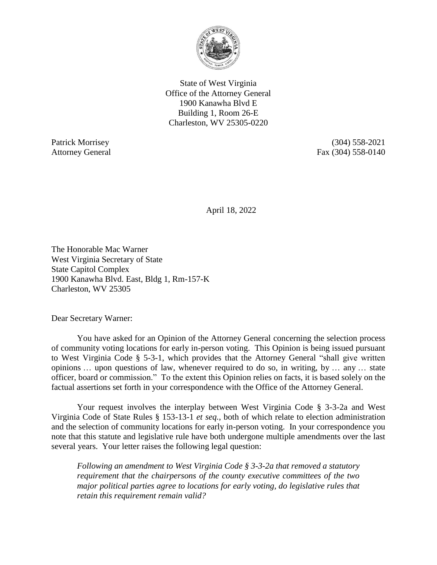

State of West Virginia Office of the Attorney General 1900 Kanawha Blvd E Building 1, Room 26-E Charleston, WV 25305-0220

Patrick Morrisey (304) 558-2021 Attorney General Fax (304) 558-0140

April 18, 2022

The Honorable Mac Warner West Virginia Secretary of State State Capitol Complex 1900 Kanawha Blvd. East, Bldg 1, Rm-157-K Charleston, WV 25305

Dear Secretary Warner:

You have asked for an Opinion of the Attorney General concerning the selection process of community voting locations for early in-person voting.This Opinion is being issued pursuant to West Virginia Code § 5-3-1, which provides that the Attorney General "shall give written opinions … upon questions of law, whenever required to do so, in writing, by … any … state officer, board or commission." To the extent this Opinion relies on facts, it is based solely on the factual assertions set forth in your correspondence with the Office of the Attorney General.

Your request involves the interplay between West Virginia Code § 3-3-2a and West Virginia Code of State Rules § 153-13-1 *et seq.*, both of which relate to election administration and the selection of community locations for early in-person voting. In your correspondence you note that this statute and legislative rule have both undergone multiple amendments over the last several years. Your letter raises the following legal question:

*Following an amendment to West Virginia Code § 3-3-2a that removed a statutory requirement that the chairpersons of the county executive committees of the two major political parties agree to locations for early voting, do legislative rules that retain this requirement remain valid?*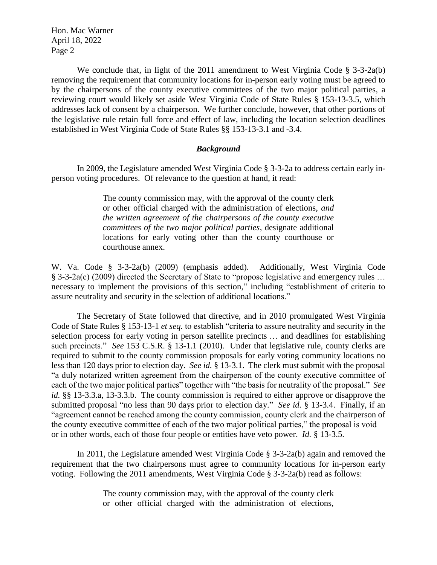We conclude that, in light of the 2011 amendment to West Virginia Code § 3-3-2a(b) removing the requirement that community locations for in-person early voting must be agreed to by the chairpersons of the county executive committees of the two major political parties, a reviewing court would likely set aside West Virginia Code of State Rules § 153-13-3.5, which addresses lack of consent by a chairperson. We further conclude, however, that other portions of the legislative rule retain full force and effect of law, including the location selection deadlines established in West Virginia Code of State Rules §§ 153-13-3.1 and -3.4.

## *Background*

In 2009, the Legislature amended West Virginia Code § 3-3-2a to address certain early inperson voting procedures. Of relevance to the question at hand, it read:

> The county commission may, with the approval of the county clerk or other official charged with the administration of elections, *and the written agreement of the chairpersons of the county executive committees of the two major political parties*, designate additional locations for early voting other than the county courthouse or courthouse annex.

W. Va. Code § 3-3-2a(b) (2009) (emphasis added). Additionally, West Virginia Code § 3-3-2a(c) (2009) directed the Secretary of State to "propose legislative and emergency rules … necessary to implement the provisions of this section," including "establishment of criteria to assure neutrality and security in the selection of additional locations."

The Secretary of State followed that directive, and in 2010 promulgated West Virginia Code of State Rules § 153-13-1 *et seq.* to establish "criteria to assure neutrality and security in the selection process for early voting in person satellite precincts … and deadlines for establishing such precincts." *See* 153 C.S.R. § 13-1.1 (2010). Under that legislative rule, county clerks are required to submit to the county commission proposals for early voting community locations no less than 120 days prior to election day. *See id.* § 13-3.1. The clerk must submit with the proposal "a duly notarized written agreement from the chairperson of the county executive committee of each of the two major political parties" together with "the basis for neutrality of the proposal." *See id.* §§ 13-3.3.a, 13-3.3.b. The county commission is required to either approve or disapprove the submitted proposal "no less than 90 days prior to election day." *See id.* § 13-3.4. Finally, if an "agreement cannot be reached among the county commission, county clerk and the chairperson of the county executive committee of each of the two major political parties," the proposal is void or in other words, each of those four people or entities have veto power. *Id.* § 13-3.5.

In 2011, the Legislature amended West Virginia Code § 3-3-2a(b) again and removed the requirement that the two chairpersons must agree to community locations for in-person early voting. Following the 2011 amendments, West Virginia Code § 3-3-2a(b) read as follows:

> The county commission may, with the approval of the county clerk or other official charged with the administration of elections,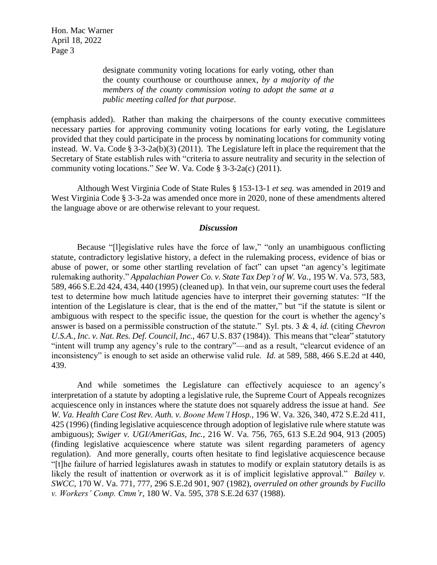> designate community voting locations for early voting, other than the county courthouse or courthouse annex, *by a majority of the members of the county commission voting to adopt the same at a public meeting called for that purpose*.

(emphasis added). Rather than making the chairpersons of the county executive committees necessary parties for approving community voting locations for early voting, the Legislature provided that they could participate in the process by nominating locations for community voting instead. W. Va. Code § 3-3-2a(b)(3) (2011). The Legislature left in place the requirement that the Secretary of State establish rules with "criteria to assure neutrality and security in the selection of community voting locations." *See* W. Va. Code § 3-3-2a(c) (2011).

Although West Virginia Code of State Rules § 153-13-1 *et seq.* was amended in 2019 and West Virginia Code § 3-3-2a was amended once more in 2020, none of these amendments altered the language above or are otherwise relevant to your request.

## *Discussion*

Because "[l]egislative rules have the force of law," "only an unambiguous conflicting statute, contradictory legislative history, a defect in the rulemaking process, evidence of bias or abuse of power, or some other startling revelation of fact" can upset "an agency's legitimate rulemaking authority." *Appalachian Power Co. v. State Tax Dep't of W. Va.*, 195 W. Va. 573, 583, 589, 466 S.E.2d 424, 434, 440 (1995) (cleaned up). In that vein, our supreme court uses the federal test to determine how much latitude agencies have to interpret their governing statutes: "If the intention of the Legislature is clear, that is the end of the matter," but "if the statute is silent or ambiguous with respect to the specific issue, the question for the court is whether the agency's answer is based on a permissible construction of the statute." Syl. pts. 3 & 4, *id.* (citing *[Chevron](https://1.next.westlaw.com/Link/Document/FullText?findType=Y&serNum=1984130736&pubNum=0000708&originatingDoc=I5a004597038211da9439b076ef9ec4de&refType=RP&originationContext=document&transitionType=DocumentItem&ppcid=ac2dfae3082247ed8a4529f0d6f2f0e7&contextData=(sc.Folder*cid.2261c4738d5a46c9a7e34c888d25dbd5*oc.Search))  U.S.A., Inc. v. Nat. Res. Def. Council, Inc.*, [467 U.S. 837 \(1984\)\)](https://1.next.westlaw.com/Link/Document/FullText?findType=Y&serNum=1984130736&pubNum=0000708&originatingDoc=I5a004597038211da9439b076ef9ec4de&refType=RP&originationContext=document&transitionType=DocumentItem&ppcid=ac2dfae3082247ed8a4529f0d6f2f0e7&contextData=(sc.Folder*cid.2261c4738d5a46c9a7e34c888d25dbd5*oc.Search)). This means that "clear" statutory "intent will trump any agency's rule to the contrary"—and as a result, "clearcut evidence of an inconsistency" is enough to set aside an otherwise valid rule. *Id.* at 589, 588, 466 S.E.2d at 440, 439.

And while sometimes the Legislature can effectively acquiesce to an agency's interpretation of a statute by adopting a legislative rule, the Supreme Court of Appeals recognizes acquiescence only in instances where the statute does not squarely address the issue at hand. *See W. Va. Health Care Cost Rev. Auth. v. Boone Mem'l Hosp.*, 196 W. Va. 326, 340, 472 S.E.2d 411, 425 (1996) (finding legislative acquiescence through adoption of legislative rule where statute was ambiguous); *Swiger v. UGI/AmeriGas, Inc.*, 216 W. Va. 756, 765, 613 S.E.2d 904, 913 (2005) (finding legislative acquiescence where statute was silent regarding parameters of agency regulation). And more generally, courts often hesitate to find legislative acquiescence because "[t]he failure of harried legislatures awash in statutes to modify or explain statutory details is as likely the result of inattention or overwork as it is of implicit legislative approval." *Bailey v. SWCC*, 170 W. Va. 771, 777, 296 S.E.2d 901, 907 (1982), *overruled on other grounds by Fucillo v. Workers' Comp. Cmm'r*, 180 W. Va. 595, 378 S.E.2d 637 (1988).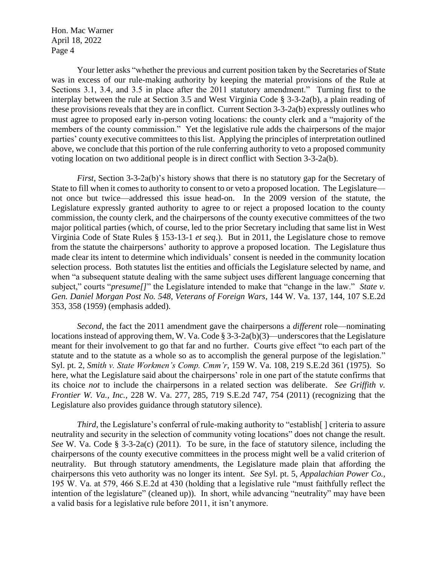Your letter asks "whether the previous and current position taken by the Secretaries of State was in excess of our rule-making authority by keeping the material provisions of the Rule at Sections 3.1, 3.4, and 3.5 in place after the 2011 statutory amendment." Turning first to the interplay between the rule at Section 3.5 and West Virginia Code § 3-3-2a(b), a plain reading of these provisions reveals that they are in conflict. Current Section 3-3-2a(b) expressly outlines who must agree to proposed early in-person voting locations: the county clerk and a "majority of the members of the county commission." Yet the legislative rule adds the chairpersons of the major parties' county executive committees to this list. Applying the principles of interpretation outlined above, we conclude that this portion of the rule conferring authority to veto a proposed community voting location on two additional people is in direct conflict with Section 3-3-2a(b).

*First*, Section 3-3-2a(b)'s history shows that there is no statutory gap for the Secretary of State to fill when it comes to authority to consent to or veto a proposed location. The Legislature not once but twice—addressed this issue head-on. In the 2009 version of the statute, the Legislature expressly granted authority to agree to or reject a proposed location to the county commission, the county clerk, and the chairpersons of the county executive committees of the two major political parties (which, of course, led to the prior Secretary including that same list in West Virginia Code of State Rules § 153-13-1 *et seq*.). But in 2011, the Legislature chose to remove from the statute the chairpersons' authority to approve a proposed location. The Legislature thus made clear its intent to determine which individuals' consent is needed in the community location selection process. Both statutes list the entities and officials the Legislature selected by name, and when "a subsequent statute dealing with the same subject uses different language concerning that subject," courts "*presume*[]" the Legislature intended to make that "change in the law." *State v. Gen. Daniel Morgan Post No. 548, Veterans of Foreign Wars*, 144 W. Va. 137, 144, 107 S.E.2d 353, 358 (1959) (emphasis added).

*Second*, the fact the 2011 amendment gave the chairpersons a *different* role—nominating locations instead of approving them, W. Va. Code  $\S 3-3-2a(b)(3)$ —underscores that the Legislature meant for their involvement to go that far and no further. Courts give effect "to each part of the statute and to the statute as a whole so as to accomplish the general purpose of the legislation." Syl. pt. 2, *Smith v. State Workmen's Comp. Cmm'r*, 159 W. Va. 108, 219 S.E.2d 361 (1975). So here, what the Legislature said about the chairpersons' role in one part of the statute confirms that its choice *not* to include the chairpersons in a related section was deliberate. *See Griffith v. Frontier W. Va., Inc.,* 228 W. Va. 277, 285, 719 S.E.2d 747, 754 (2011) (recognizing that the Legislature also provides guidance through statutory silence).

*Third*, the Legislature's conferral of rule-making authority to "establish [] criteria to assure neutrality and security in the selection of community voting locations" does not change the result. *See* W. Va. Code § 3-3-2a(c) (2011). To be sure, in the face of statutory silence, including the chairpersons of the county executive committees in the process might well be a valid criterion of neutrality. But through statutory amendments, the Legislature made plain that affording the chairpersons this veto authority was no longer its intent. *See* Syl. pt. 5, *Appalachian Power Co.,*  195 W. Va. at 579, 466 S.E.2d at 430 (holding that a legislative rule "must faithfully reflect the intention of the legislature" (cleaned up)). In short, while advancing "neutrality" may have been a valid basis for a legislative rule before 2011, it isn't anymore.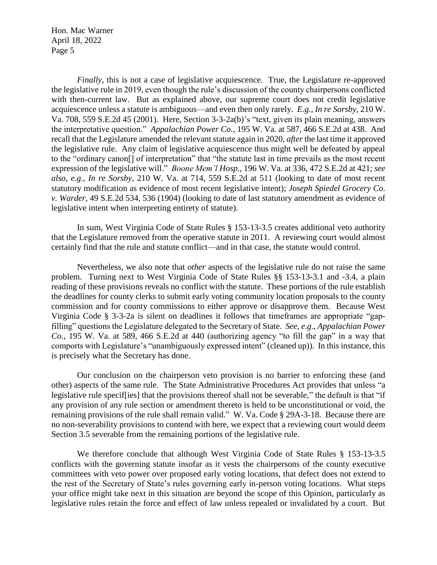*Finally*, this is not a case of legislative acquiescence. True, the Legislature re-approved the legislative rule in 2019, even though the rule's discussion of the county chairpersons conflicted with then-current law. But as explained above, our supreme court does not credit legislative acquiescence unless a statute is ambiguous—and even then only rarely. *E.g.*, *In re Sorsby*, 210 W. Va. 708, 559 S.E.2d 45 (2001). Here, Section 3-3-2a(b)'s "text, given its plain meaning, answers the interpretative question." *Appalachian Power Co.*, 195 W. Va. at 587, 466 S.E.2d at 438. And recall that the Legislature amended the relevant statute again in 2020, *after* the last time it approved the legislative rule. Any claim of legislative acquiescence thus might well be defeated by appeal to the "ordinary canon[] of interpretation" that "the statute last in time prevails as the most recent expression of the legislative will." *Boone Mem'l Hosp.,* 196 W. Va. at 336, 472 S.E.2d at 421; *see also*, *e.g.*, *In re Sorsby*, 210 W. Va. at 714, 559 S.E.2d at 511 (looking to date of most recent statutory modification as evidence of most recent legislative intent); *Joseph Spiedel Grocery Co. v. Warder*, 49 S.E.2d 534, 536 (1904) (looking to date of last statutory amendment as evidence of legislative intent when interpreting entirety of statute).

In sum, West Virginia Code of State Rules § 153-13-3.5 creates additional veto authority that the Legislature removed from the operative statute in 2011. A reviewing court would almost certainly find that the rule and statute conflict—and in that case, the statute would control.

Nevertheless, we also note that *other* aspects of the legislative rule do not raise the same problem. Turning next to West Virginia Code of State Rules §§ 153-13-3.1 and -3.4, a plain reading of these provisions reveals no conflict with the statute. These portions of the rule establish the deadlines for county clerks to submit early voting community location proposals to the county commission and for county commissions to either approve or disapprove them. Because West Virginia Code § 3-3-2a is silent on deadlines it follows that timeframes are appropriate "gapfilling" questions the Legislature delegated to the Secretary of State. *See*, *e*.*g*., *Appalachian Power Co.*, 195 W. Va. at 589, 466 S.E.2d at 440 (authorizing agency "to fill the gap" in a way that comports with Legislature's "unambiguously expressed intent" (cleaned up)). In this instance, this is precisely what the Secretary has done.

Our conclusion on the chairperson veto provision is no barrier to enforcing these (and other) aspects of the same rule. The State Administrative Procedures Act provides that unless "a legislative rule specif[ies] that the provisions thereof shall not be severable," the default is that "if any provision of any rule section or amendment thereto is held to be unconstitutional or void, the remaining provisions of the rule shall remain valid." W. Va. Code § 29A-3-18. Because there are no non-severability provisions to contend with here, we expect that a reviewing court would deem Section 3.5 severable from the remaining portions of the legislative rule.

We therefore conclude that although West Virginia Code of State Rules § 153-13-3.5 conflicts with the governing statute insofar as it vests the chairpersons of the county executive committees with veto power over proposed early voting locations, that defect does not extend to the rest of the Secretary of State's rules governing early in-person voting locations. What steps your office might take next in this situation are beyond the scope of this Opinion, particularly as legislative rules retain the force and effect of law unless repealed or invalidated by a court. But